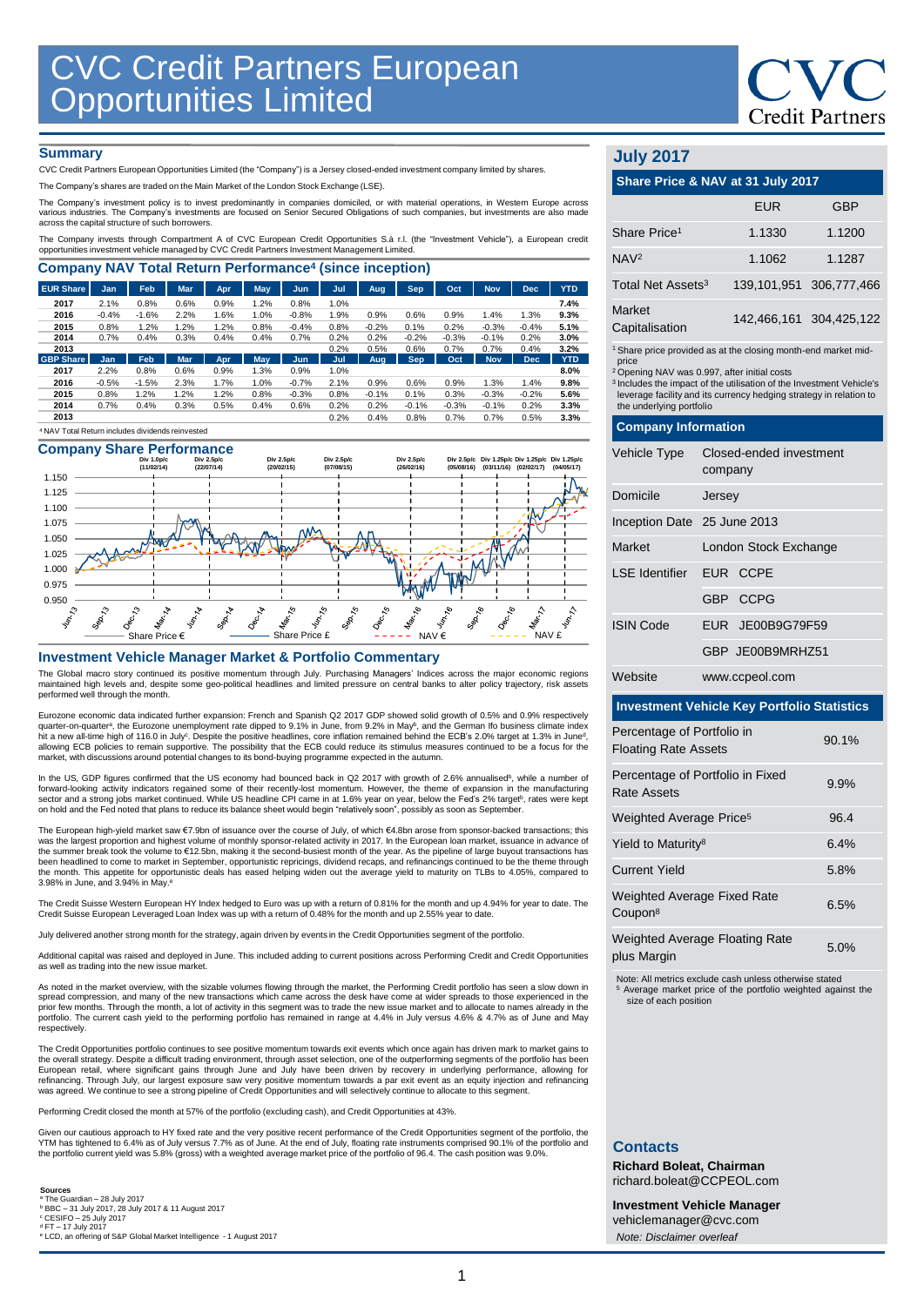# **Credit Partners**

## **Summary**

CVC Credit Partners European Opportunities Limited (the "Company") is a Jersey closed-ended investment company limited by shares.

The Company's shares are traded on the Main Market of the London Stock Exchange (LSE).

The Company's investment policy is to invest predominantly in companies domiciled, or with material operations, in Westem Europe across<br>various industries. The Company's investments are focused on Senior Secured Obligation

The Company invests through Compartment A of CVC European Credit Opportunities S.à r.l. (the "Investment Vehicle"), a European credit opportunities investment vehicle managed by CVC Credit Partners Investment Management Limited.

| <b>Company NAV Total Return Performance<sup>4</sup> (since inception)</b> |            |         |            |            |      |         |      |         |            |         |            |            |            |
|---------------------------------------------------------------------------|------------|---------|------------|------------|------|---------|------|---------|------------|---------|------------|------------|------------|
| <b>EUR Share</b>                                                          | Jan        | Feb     | <b>Mar</b> | <b>Apr</b> | May  | Jun     | Jul  | Aug.    | <b>Sep</b> | Oct     | <b>Nov</b> | <b>Dec</b> | <b>YTD</b> |
| 2017                                                                      | 2.1%       | 0.8%    | 0.6%       | 0.9%       | 1.2% | 0.8%    | 1.0% |         |            |         |            |            | 7.4%       |
| 2016                                                                      | $-0.4%$    | $-1.6%$ | 2.2%       | 1.6%       | 1.0% | $-0.8%$ | 1.9% | 0.9%    | 0.6%       | 0.9%    | 1.4%       | 1.3%       | 9.3%       |
| 2015                                                                      | 0.8%       | 1.2%    | 1.2%       | 1.2%       | 0.8% | $-0.4%$ | 0.8% | $-0.2%$ | 0.1%       | 0.2%    | $-0.3%$    | $-0.4%$    | 5.1%       |
| 2014                                                                      | 0.7%       | 0.4%    | 0.3%       | 0.4%       | 0.4% | 0.7%    | 0.2% | 0.2%    | $-0.2%$    | $-0.3%$ | $-0.1%$    | 0.2%       | 3.0%       |
| 2013                                                                      |            |         |            |            |      |         | 0.2% | 0.5%    | 0.6%       | 0.7%    | 0.7%       | 0.4%       | 3.2%       |
| <b>GBP Share</b>                                                          | <b>Jan</b> | Feb     | <b>Mar</b> | <b>Apr</b> | May  | Jun     | Jul  | Aug     | Sep.       | Oct     | <b>Nov</b> | <b>Dec</b> | <b>YTD</b> |
| 2017                                                                      | 2.2%       | 0.8%    | 0.6%       | 0.9%       | 1.3% | 0.9%    | 1.0% |         |            |         |            |            | 8.0%       |
| 2016                                                                      | $-0.5%$    | $-1.5%$ | 2.3%       | 1.7%       | 1.0% | $-0.7%$ | 2.1% | 0.9%    | 0.6%       | 0.9%    | 1.3%       | 1.4%       | 9.8%       |
| 2015                                                                      | 0.8%       | 1.2%    | 1.2%       | 1.2%       | 0.8% | $-0.3%$ | 0.8% | $-0.1%$ | 0.1%       | 0.3%    | $-0.3%$    | $-0.2%$    | 5.6%       |
| 2014                                                                      | 0.7%       | 0.4%    | 0.3%       | 0.5%       | 0.4% | 0.6%    | 0.2% | 0.2%    | $-0.1%$    | $-0.3%$ | $-0.1%$    | 0.2%       | 3.3%       |
| 2013                                                                      |            |         |            |            |      |         | 0.2% | 0.4%    | 0.8%       | 0.7%    | 0.7%       | 0.5%       | 3.3%       |
| <sup>4</sup> NAV Total Return includes dividends reinvested               |            |         |            |            |      |         |      |         |            |         |            |            |            |

# **Company Share Performance**



## **Investment Vehicle Manager Market & Portfolio Commentary**

The Global macro story continued its positive momentum through July. Purchasing Managers' Indices across the major economic regions<br>maintained high levels and, despite some geo-political headlines and limited pressure on c performed well through the month.

Eurozone economic data indicated further expansion: French and Spanish Q2 2017 GDP showed solid growth of 0.5% and 0.9% respectively quarter-on-quarterª, the Eurozone unemployment rate dipped to 9.1% in June, from 9.2% in May<sup>b</sup>, and the German Ifo business climate index<br>hit a new all-time high of 116.0 in July<sup>c</sup>. Despite the positive headlines, core i allowing ECB policies to remain supportive. The possibility that the ECB could reduce its stimulus measures continued to be a focus for the<br>market, with discussions around potential changes to its bond-buying programme exp

In the US, GDP figures confirmed that the US economy had bounced back in Q2 2017 with growth of 2.6% annualised<sup>b</sup>, while a number of forward-looking activity indicators regained some of their recently-lost momentum. However, the theme of expansion in the manufacturing sector and a strong jobs market continued. While US headline CPI came in at 1.6% year on year, below the Fed's 2% target<sup>b</sup>, rates were kept on hold and the Fed noted that plans to reduce its balance sheet would begin "relatively soon", possibly as soon as September

The European high-yield market saw €7.9bn of issuance over the course of July, of which €4.8bn arose from sponsor-backed transactions; this was the largest proportion and highest volume of monthly sponsor-related activity in 2017. In the European loan market, issuance in advance of the summer break took the volume to €12.5bn, making it the second-busiest month of the year. As the pipeline of large buyout transactions has been headlined to come to market in September, opportunistic repricings, dividend recaps, and refinancings continued to be the theme through the month. This appetite for opportunistic deals has eased helping widen out the average yield to maturity on TLBs to 4.05%, compared to 3.98% in June, and 3.94% in May. e

The Credit Suisse Western European HY Index hedged to Euro was up with a return of 0.81% for the month and up 4.94% for year to date. The<br>Credit Suisse European Leveraged Loan Index was up with a return of 0.48% for the mo

July delivered another strong month for the strategy, again driven by events in the Credit Opportunities segment of the portfolio.

Additional capital was raised and deployed in June. This included adding to current positions across Performing Credit and Credit Opportunities as well as trading into the new issue market.

As noted in the market overview, with the sizable volumes flowing through the market, the Performing Credit portfolio has seen a slow down in<br>spread compression, and many of the new transactions which came across the desk prior few months. Through the month, a lot of activity in this segment was to trade the new issue market and to allocate to names already in the portfolio. The current cash yield to the performing portfolio has remained in range at 4.4% in July versus 4.6% & 4.7% as of June and May respectively.

The Credit Opportunities portfolio continues to see positive momentum towards exit events which once again has driven mark to market gains to the overall strategy. Despite a difficult trading environment, through asset selection, one of the outperforming segments of the portfolio has been<br>European retail, where significant gains through June and July have been d refinancing. Through July, our largest exposure saw very positive momentum towards a par exit event as an equity injection and refinancing was agreed. We continue to see a strong pipeline of Credit Opportunities and will selectively continue to allocate to this segment.

Performing Credit closed the month at 57% of the portfolio (excluding cash), and Credit Opportunities at 43%.

Given our cautious approach to HY fixed rate and the very positive recent performance of the Credit Opportunities segment of the portfolio, the YTM has tightened to 6.4% as of July versus 7.7% as of June. At the end of July, floating rate instruments comprised 90.1% of the portfolio and<br>the portfolio current yield was 5.8% (gross) with a weighted average market pr

### **Sources**

a The Guardian – 28 July 2017

<sup>b</sup> BBC – 31 July 2017, 28 July 2017 & 11 August 2017<br>° CESIFO – 25 July 2017<br><sup>d</sup> FT – 17 July 2017<br>® LCD, an offering of S&P Global Market Intelligence - 1 August 2017

# **July 2017**

| Share Price & NAV at 31 July 2017                                                  |             |                         |  |  |  |  |
|------------------------------------------------------------------------------------|-------------|-------------------------|--|--|--|--|
|                                                                                    | <b>EUR</b>  | <b>GBP</b>              |  |  |  |  |
| Share Price <sup>1</sup>                                                           | 1.1330      | 1.1200                  |  |  |  |  |
| NAV <sup>2</sup>                                                                   | 1.1062      | 1.1287                  |  |  |  |  |
| Total Net Assets <sup>3</sup>                                                      | 139.101.951 | 306.777.466             |  |  |  |  |
| Market<br>Capitalisation                                                           |             | 142.466.161 304.425.122 |  |  |  |  |
| <sup>1</sup> Share price provided as at the closing month-end market mid-<br>nrinn |             |                         |  |  |  |  |

price <sup>2</sup>Opening NAV was 0.997, after initial costs

<sup>3</sup>Includes the impact of the utilisation of the Investment Vehicle's leverage facility and its currency hedging strategy in relation to the underlying portfolio

# **Company Information**

| Vehicle Type                | Closed-ended investment<br>company |  |  |  |
|-----------------------------|------------------------------------|--|--|--|
| Domicile                    | Jersey                             |  |  |  |
| Inception Date 25 June 2013 |                                    |  |  |  |
| Market                      | London Stock Exchange              |  |  |  |
| I SF Identifier             | FUR CCPF                           |  |  |  |
|                             | GBP CCPG                           |  |  |  |
| <b>ISIN Code</b>            | EUR JE00B9G79F59                   |  |  |  |
|                             | GBP JE00B9MRHZ51                   |  |  |  |
| Website                     | www.ccpeol.com                     |  |  |  |

## **Investment Vehicle Key Portfolio Statistics**

| Percentage of Portfolio in<br><b>Floating Rate Assets</b> | 90.1% |
|-----------------------------------------------------------|-------|
| Percentage of Portfolio in Fixed<br>Rate Assets           | 9.9%  |
| Weighted Average Price <sup>5</sup>                       | 96.4  |
| Yield to Maturity <sup>8</sup>                            | 6.4%  |
| <b>Current Yield</b>                                      | 5.8%  |
| <b>Weighted Average Fixed Rate</b><br>Coupon <sup>8</sup> | 6.5%  |
| <b>Weighted Average Floating Rate</b><br>plus Margin      | 5.0%  |

Note: All metrics exclude cash unless otherwise stated <sup>5</sup> Average market price of the portfolio weighted against the size of each position

# **Contacts**

**Richard Boleat, Chairman**  richard.boleat@CCPEOL.com

**Investment Vehicle Manager** vehiclemanager@cvc.com *Note: Disclaimer overleaf*